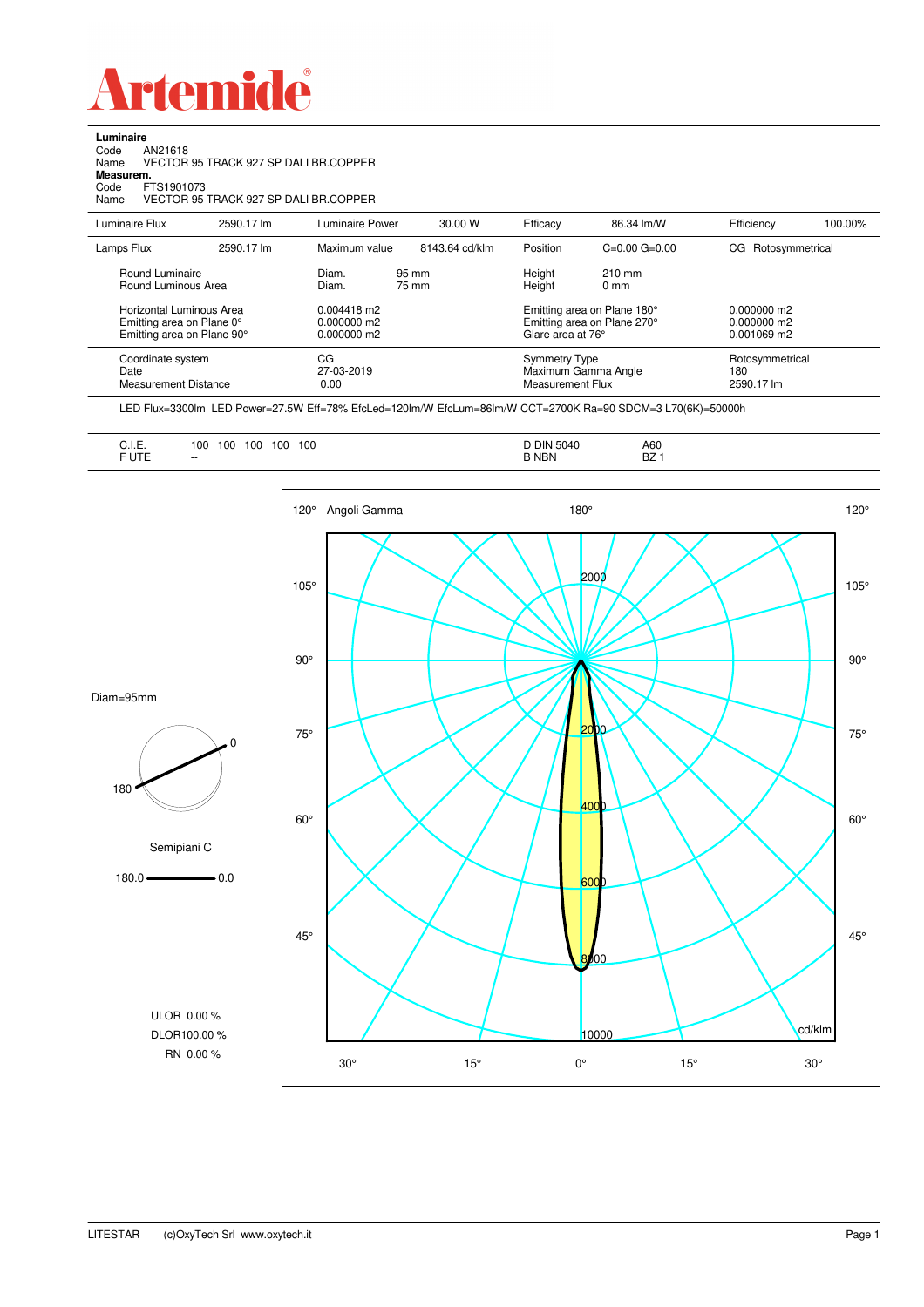

**Luminaire**<br>Code /<br>Name \ Code AN21618 Name VECTOR 95 TRACK 927 SP DALI BR.COPPER

**Measurem.**

Code FTS1901073 Name VECTOR 95 TRACK 927 SP DALI BR.COPPER

| Luminaire Flux                                                                                  | 2590.17 lm | Luminaire Power                                  | 30.00 W        | Efficacy                          | 86.34 lm/W                                                                                       | Efficiency                           | 100.00% |
|-------------------------------------------------------------------------------------------------|------------|--------------------------------------------------|----------------|-----------------------------------|--------------------------------------------------------------------------------------------------|--------------------------------------|---------|
| Lamps Flux                                                                                      | 2590.17 lm | Maximum value                                    | 8143.64 cd/klm | Position                          | $C=0.00$ $G=0.00$                                                                                | CG Rotosymmetrical                   |         |
| Round Luminaire<br>Round Luminous Area<br>Horizontal Luminous Area<br>Emitting area on Plane 0° |            | Diam.<br>Diam.<br>$0.004418$ m2<br>$0.000000$ m2 | 95 mm<br>75 mm | Height<br>Height                  | $210 \text{ mm}$<br>$0 \text{ mm}$<br>Emitting area on Plane 180°<br>Emitting area on Plane 270° | $0.000000$ m2<br>$0.000000$ m2       |         |
| Emitting area on Plane 90°                                                                      |            | $0.000000$ m2                                    |                | Glare area at 76°                 |                                                                                                  | $0.001069$ m2                        |         |
| Coordinate system<br>Date<br><b>Measurement Distance</b>                                        |            | CG<br>27-03-2019<br>0.00                         |                | Symmetry Type<br>Measurement Flux | Maximum Gamma Angle                                                                              | Rotosymmetrical<br>180<br>2590.17 lm |         |

LED Flux=3300lm LED Power=27.5W Eff=78% EfcLed=120lm/W EfcLum=86lm/W CCT=2700K Ra=90 SDCM=3 L70(6K)=50000h